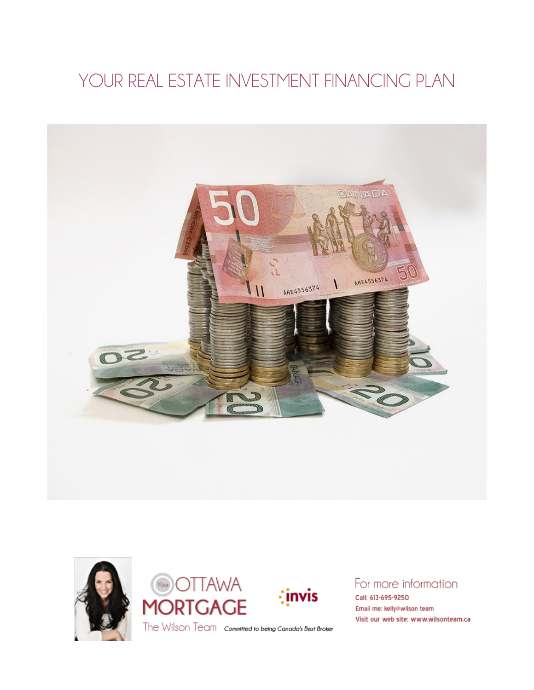# YOUR REAL ESTATE INVESTMENT FINANCING PLAN









## For more information

Call: 613-695-9250 Email me: kelly@wilson team Visit our web site: www.wilsonteam.ca

The Wilson Team committed to being Canada's Best Broker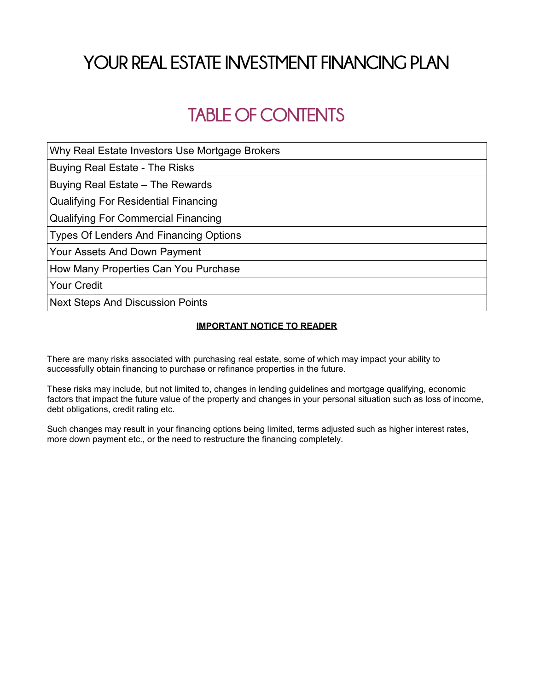# **YOUR REAL ESTATE INVESTMENT FINANCING PLAN**

# **TABLE OF CONTENTS**

Why Real Estate Investors Use Mortgage Brokers

Buying Real Estate - The Risks

Buying Real Estate – The Rewards

Qualifying For Residential Financing

Qualifying For Commercial Financing

Types Of Lenders And Financing Options

Your Assets And Down Payment

How Many Properties Can You Purchase

Your Credit

Next Steps And Discussion Points

#### **IMPORTANT NOTICE TO READER**

There are many risks associated with purchasing real estate, some of which may impact your ability to successfully obtain financing to purchase or refinance properties in the future.

These risks may include, but not limited to, changes in lending guidelines and mortgage qualifying, economic factors that impact the future value of the property and changes in your personal situation such as loss of income, debt obligations, credit rating etc.

Such changes may result in your financing options being limited, terms adjusted such as higher interest rates, more down payment etc., or the need to restructure the financing completely.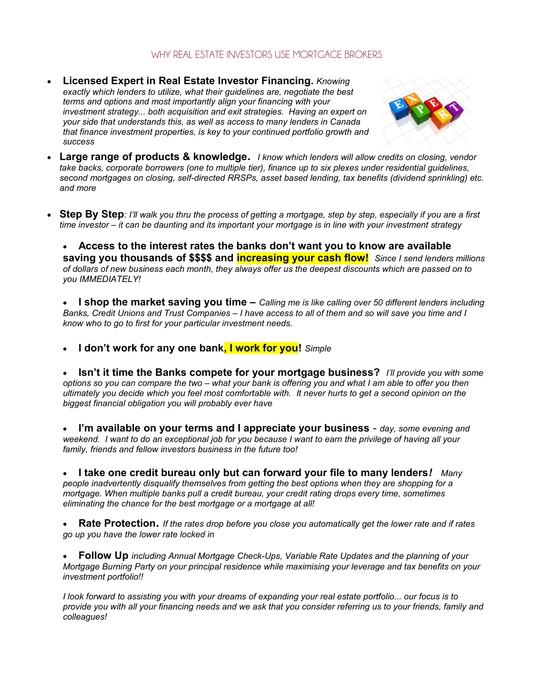### WHY REAL ESTATE INVESTORS USE MORTGAGE BROKERS

 **Licensed Expert in Real Estate Investor Financing.** *Knowing exactly which lenders to utilize, what their guidelines are, negotiate the best terms and options and most importantly align your financing with your investment strategy... both acquisition and exit strategies. Having an expert on your side that understands this, as well as access to many lenders in Canada that finance investment properties, is key to your continued portfolio growth and success* 



- **Large range of products & knowledge.** *I know which lenders will allow credits on closing, vendor take backs, corporate borrowers (one to multiple tier), finance up to six plexes under residential guidelines, second mortgages on closing, self-directed RRSPs, asset based lending, tax benefits (dividend sprinkling) etc. and more*
- **Step By Step***: I'll walk you thru the process of getting a mortgage, step by step, especially if you are a first time investor – it can be daunting and its important your mortgage is in line with your investment strategy*

 **Access to the interest rates the banks don't want you to know are available saving you thousands of \$\$\$\$ and increasing your cash flow!** *Since I send lenders millions of dollars of new business each month, they always offer us the deepest discounts which are passed on to you IMMEDIATELY!*

 **I shop the market saving you time –** *Calling me is like calling over 50 different lenders including Banks, Credit Unions and Trust Companies – I have access to all of them and so will save you time and I know who to go to first for your particular investment needs.*

**I don't work for any one bank, I work for you!** *Simple*

 **Isn't it time the Banks compete for your mortgage business?** *I'll provide you with some options so you can compare the two – what your bank is offering you and what I am able to offer you then ultimately you decide which you feel most comfortable with. It never hurts to get a second opinion on the biggest financial obligation you will probably ever have*

 **I'm available on your terms and I appreciate your business** *- day, some evening and weekend. I want to do an exceptional job for you because I want to earn the privilege of having all your family, friends and fellow investors business in the future too!*

 **I take one credit bureau only but can forward your file to many lenders***! Many people inadvertently disqualify themselves from getting the best options when they are shopping for a mortgage. When multiple banks pull a credit bureau, your credit rating drops every time, sometimes eliminating the chance for the best mortgage or a mortgage at all!*

 **Rate Protection.** *If the rates drop before you close you automatically get the lower rate and if rates go up you have the lower rate locked in*

 **Follow Up** *including Annual Mortgage Check-Ups, Variable Rate Updates and the planning of your Mortgage Burning Party on your principal residence while maximising your leverage and tax benefits on your investment portfolio!!*

*I look forward to assisting you with your dreams of expanding your real estate portfolio... our focus is to provide you with all your financing needs and we ask that you consider referring us to your friends, family and colleagues!*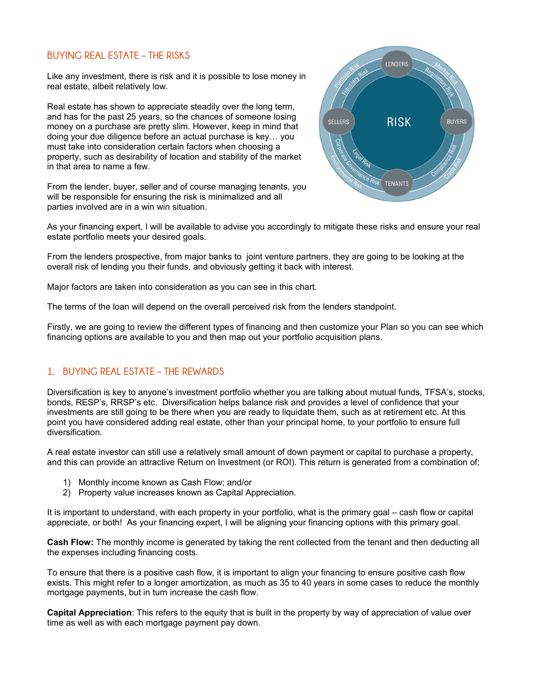#### **BUYING REAL ESTATE – THE RISKS**

Like any investment, there is risk and it is possible to lose money in real estate, albeit relatively low.

Real estate has shown to appreciate steadily over the long term, and has for the past 25 years, so the chances of someone losing money on a purchase are pretty slim. However, keep in mind that doing your due diligence before an actual purchase is key… you must take into consideration certain factors when choosing a property, such as desirability of location and stability of the market in that area to name a few.

From the lender, buyer, seller and of course managing tenants, you will be responsible for ensuring the risk is minimalized and all parties involved are in a win win situation.



As your financing expert, I will be available to advise you accordingly to mitigate these risks and ensure your real estate portfolio meets your desired goals.

From the lenders prospective, from major banks to joint venture partners, they are going to be looking at the overall risk of lending you their funds, and obviously getting it back with interest.

Major factors are taken into consideration as you can see in this chart.

The terms of the loan will depend on the overall perceived risk from the lenders standpoint.

Firstly, we are going to review the different types of financing and then customize your Plan so you can see which financing options are available to you and then map out your portfolio acquisition plans.

#### **1. BUYING REAL ESTATE – THE REWARDS**

Diversification is key to anyone's investment portfolio whether you are talking about mutual funds, TFSA's, stocks, bonds, RESP's, RRSP's etc. Diversification helps balance risk and provides a level of confidence that your investments are still going to be there when you are ready to liquidate them, such as at retirement etc. At this point you have considered adding real estate, other than your principal home, to your portfolio to ensure full diversification.

A real estate investor can still use a relatively small amount of down payment or capital to purchase a property, and this can provide an attractive Return on Investment (or ROI). This return is generated from a combination of;

- 1) Monthly income known as Cash Flow; and/or
- 2) Property value increases known as Capital Appreciation.

It is important to understand, with each property in your portfolio, what is the primary goal – cash flow or capital appreciate, or both! As your financing expert, I will be aligning your financing options with this primary goal.

**Cash Flow:** The monthly income is generated by taking the rent collected from the tenant and then deducting all the expenses including financing costs.

To ensure that there is a positive cash flow, it is important to align your financing to ensure positive cash flow exists. This might refer to a longer amortization, as much as 35 to 40 years in some cases to reduce the monthly mortgage payments, but in turn increase the cash flow.

**Capital Appreciation**: This refers to the equity that is built in the property by way of appreciation of value over time as well as with each mortgage payment pay down.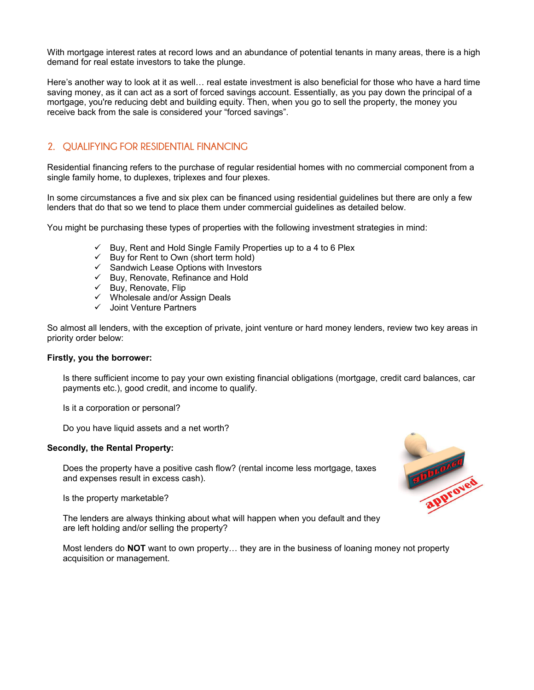With mortgage interest rates at record lows and an abundance of potential tenants in many areas, there is a high demand for real estate investors to take the plunge.

Here's another way to look at it as well… real estate investment is also beneficial for those who have a hard time saving money, as it can act as a sort of forced savings account. Essentially, as you pay down the principal of a mortgage, you're reducing debt and building equity. Then, when you go to sell the property, the money you receive back from the sale is considered your "forced savings".

#### **2. QUALIFYING FOR RESIDENTIAL FINANCING**

Residential financing refers to the purchase of regular residential homes with no commercial component from a single family home, to duplexes, triplexes and four plexes.

In some circumstances a five and six plex can be financed using residential guidelines but there are only a few lenders that do that so we tend to place them under commercial guidelines as detailed below.

You might be purchasing these types of properties with the following investment strategies in mind:

- $\checkmark$  Buy, Rent and Hold Single Family Properties up to a 4 to 6 Plex
- $\checkmark$  Buy for Rent to Own (short term hold)
- $\checkmark$  Sandwich Lease Options with Investors
- $\checkmark$  Buy, Renovate, Refinance and Hold
- $\checkmark$  Buy, Renovate, Flip
- Wholesale and/or Assign Deals
- $\checkmark$  Joint Venture Partners

So almost all lenders, with the exception of private, joint venture or hard money lenders, review two key areas in priority order below:

#### **Firstly, you the borrower:**

Is there sufficient income to pay your own existing financial obligations (mortgage, credit card balances, car payments etc.), good credit, and income to qualify.

Is it a corporation or personal?

Do you have liquid assets and a net worth?

#### **Secondly, the Rental Property:**

Does the property have a positive cash flow? (rental income less mortgage, taxes and expenses result in excess cash).

Is the property marketable?

The lenders are always thinking about what will happen when you default and they are left holding and/or selling the property?

Most lenders do **NOT** want to own property… they are in the business of loaning money not property acquisition or management.

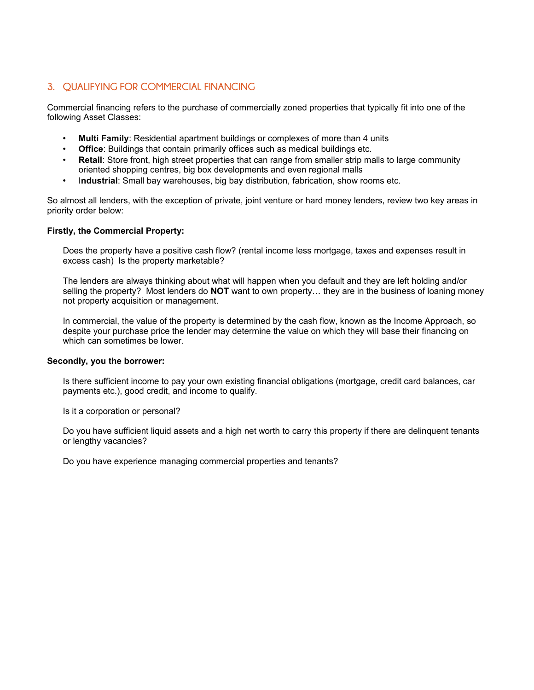### **3. QUALIFYING FOR COMMERCIAL FINANCING**

Commercial financing refers to the purchase of commercially zoned properties that typically fit into one of the following Asset Classes:

- **Multi Family**: Residential apartment buildings or complexes of more than 4 units
- **Office**: Buildings that contain primarily offices such as medical buildings etc.
- **Retail:** Store front, high street properties that can range from smaller strip malls to large community oriented shopping centres, big box developments and even regional malls
- I**ndustrial**: Small bay warehouses, big bay distribution, fabrication, show rooms etc.

So almost all lenders, with the exception of private, joint venture or hard money lenders, review two key areas in priority order below:

#### **Firstly, the Commercial Property:**

Does the property have a positive cash flow? (rental income less mortgage, taxes and expenses result in excess cash) Is the property marketable?

The lenders are always thinking about what will happen when you default and they are left holding and/or selling the property? Most lenders do **NOT** want to own property… they are in the business of loaning money not property acquisition or management.

In commercial, the value of the property is determined by the cash flow, known as the Income Approach, so despite your purchase price the lender may determine the value on which they will base their financing on which can sometimes be lower.

#### **Secondly, you the borrower:**

Is there sufficient income to pay your own existing financial obligations (mortgage, credit card balances, car payments etc.), good credit, and income to qualify.

Is it a corporation or personal?

Do you have sufficient liquid assets and a high net worth to carry this property if there are delinquent tenants or lengthy vacancies?

Do you have experience managing commercial properties and tenants?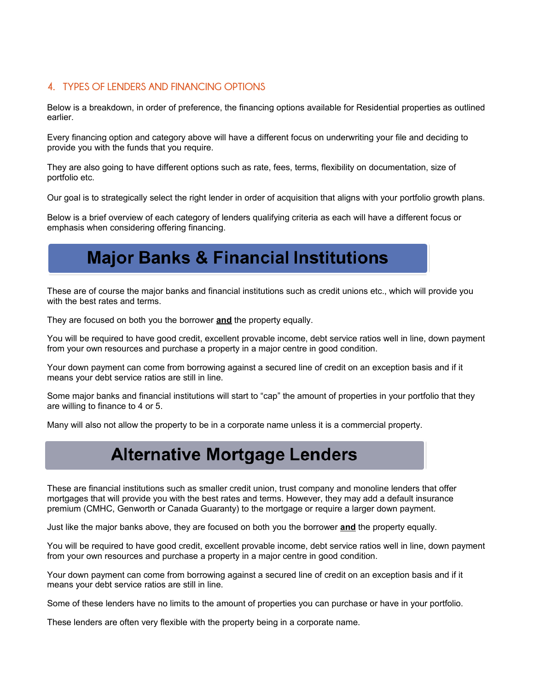### **4. TYPES OF LENDERS AND FINANCING OPTIONS**

Below is a breakdown, in order of preference, the financing options available for Residential properties as outlined earlier.

Every financing option and category above will have a different focus on underwriting your file and deciding to provide you with the funds that you require.

They are also going to have different options such as rate, fees, terms, flexibility on documentation, size of portfolio etc.

Our goal is to strategically select the right lender in order of acquisition that aligns with your portfolio growth plans.

Below is a brief overview of each category of lenders qualifying criteria as each will have a different focus or emphasis when considering offering financing.

## Major Banks & Financial Institutions

These are of course the major banks and financial institutions such as credit unions etc., which will provide you with the best rates and terms.

They are focused on both you the borrower **and** the property equally.

You will be required to have good credit, excellent provable income, debt service ratios well in line, down payment from your own resources and purchase a property in a major centre in good condition.

Your down payment can come from borrowing against a secured line of credit on an exception basis and if it means your debt service ratios are still in line.

Some major banks and financial institutions will start to "cap" the amount of properties in your portfolio that they are willing to finance to 4 or 5.

Many will also not allow the property to be in a corporate name unless it is a commercial property.

## Alternative Mortgage Lenders

These are financial institutions such as smaller credit union, trust company and monoline lenders that offer mortgages that will provide you with the best rates and terms. However, they may add a default insurance premium (CMHC, Genworth or Canada Guaranty) to the mortgage or require a larger down payment.

Just like the major banks above, they are focused on both you the borrower **and** the property equally.

You will be required to have good credit, excellent provable income, debt service ratios well in line, down payment from your own resources and purchase a property in a major centre in good condition.

Your down payment can come from borrowing against a secured line of credit on an exception basis and if it means your debt service ratios are still in line.

Some of these lenders have no limits to the amount of properties you can purchase or have in your portfolio.

These lenders are often very flexible with the property being in a corporate name.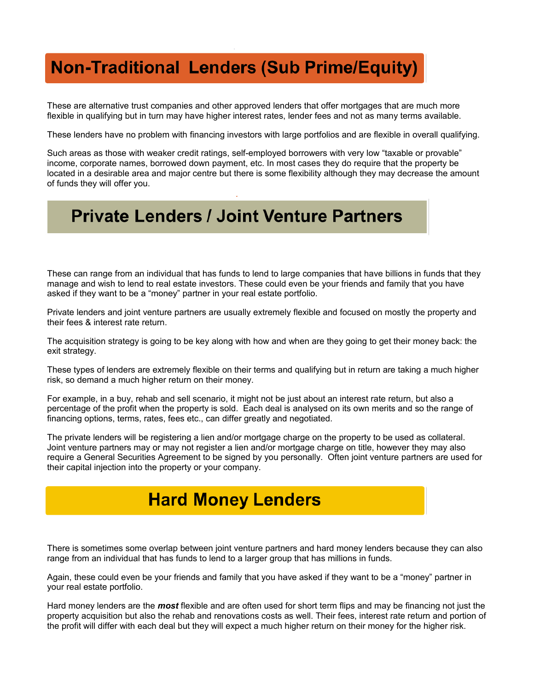## **Non-Traditional Lenders (Sub Prime/Equity)**

These are alternative trust companies and other approved lenders that offer mortgages that are much more flexible in qualifying but in turn may have higher interest rates, lender fees and not as many terms available.

These lenders have no problem with financing investors with large portfolios and are flexible in overall qualifying.

Such areas as those with weaker credit ratings, self-employed borrowers with very low "taxable or provable" income, corporate names, borrowed down payment, etc. In most cases they do require that the property be located in a desirable area and major centre but there is some flexibility although they may decrease the amount of funds they will offer you.

## **Private Lenders / Joint Venture Partners**

These can range from an individual that has funds to lend to large companies that have billions in funds that they manage and wish to lend to real estate investors. These could even be your friends and family that you have asked if they want to be a "money" partner in your real estate portfolio.

Private lenders and joint venture partners are usually extremely flexible and focused on mostly the property and their fees & interest rate return.

The acquisition strategy is going to be key along with how and when are they going to get their money back: the exit strategy.

These types of lenders are extremely flexible on their terms and qualifying but in return are taking a much higher risk, so demand a much higher return on their money.

For example, in a buy, rehab and sell scenario, it might not be just about an interest rate return, but also a percentage of the profit when the property is sold. Each deal is analysed on its own merits and so the range of financing options, terms, rates, fees etc., can differ greatly and negotiated.

The private lenders will be registering a lien and/or mortgage charge on the property to be used as collateral. Joint venture partners may or may not register a lien and/or mortgage charge on title, however they may also require a General Securities Agreement to be signed by you personally. Often joint venture partners are used for their capital injection into the property or your company.

# Hard Money Lenders

There is sometimes some overlap between joint venture partners and hard money lenders because they can also range from an individual that has funds to lend to a larger group that has millions in funds.

Again, these could even be your friends and family that you have asked if they want to be a "money" partner in your real estate portfolio.

Hard money lenders are the *most* flexible and are often used for short term flips and may be financing not just the property acquisition but also the rehab and renovations costs as well. Their fees, interest rate return and portion of the profit will differ with each deal but they will expect a much higher return on their money for the higher risk.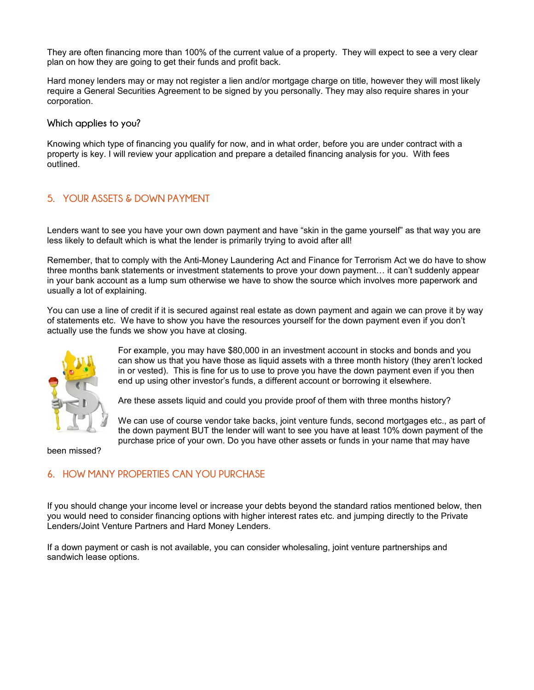They are often financing more than 100% of the current value of a property. They will expect to see a very clear plan on how they are going to get their funds and profit back.

Hard money lenders may or may not register a lien and/or mortgage charge on title, however they will most likely require a General Securities Agreement to be signed by you personally. They may also require shares in your corporation.

**Which applies to you?**

Knowing which type of financing you qualify for now, and in what order, before you are under contract with a property is key. I will review your application and prepare a detailed financing analysis for you. With fees outlined.

#### **5. YOUR ASSETS & DOWN PAYMENT**

Lenders want to see you have your own down payment and have "skin in the game yourself" as that way you are less likely to default which is what the lender is primarily trying to avoid after all!

Remember, that to comply with the Anti-Money Laundering Act and Finance for Terrorism Act we do have to show three months bank statements or investment statements to prove your down payment… it can't suddenly appear in your bank account as a lump sum otherwise we have to show the source which involves more paperwork and usually a lot of explaining.

You can use a line of credit if it is secured against real estate as down payment and again we can prove it by way of statements etc. We have to show you have the resources yourself for the down payment even if you don't actually use the funds we show you have at closing.



For example, you may have \$80,000 in an investment account in stocks and bonds and you can show us that you have those as liquid assets with a three month history (they aren't locked in or vested). This is fine for us to use to prove you have the down payment even if you then end up using other investor's funds, a different account or borrowing it elsewhere.

Are these assets liquid and could you provide proof of them with three months history?

We can use of course vendor take backs, joint venture funds, second mortgages etc., as part of the down payment BUT the lender will want to see you have at least 10% down payment of the purchase price of your own. Do you have other assets or funds in your name that may have

been missed?

#### **6. HOW MANY PROPERTIES CAN YOU PURCHASE**

If you should change your income level or increase your debts beyond the standard ratios mentioned below, then you would need to consider financing options with higher interest rates etc. and jumping directly to the Private Lenders/Joint Venture Partners and Hard Money Lenders.

If a down payment or cash is not available, you can consider wholesaling, joint venture partnerships and sandwich lease options.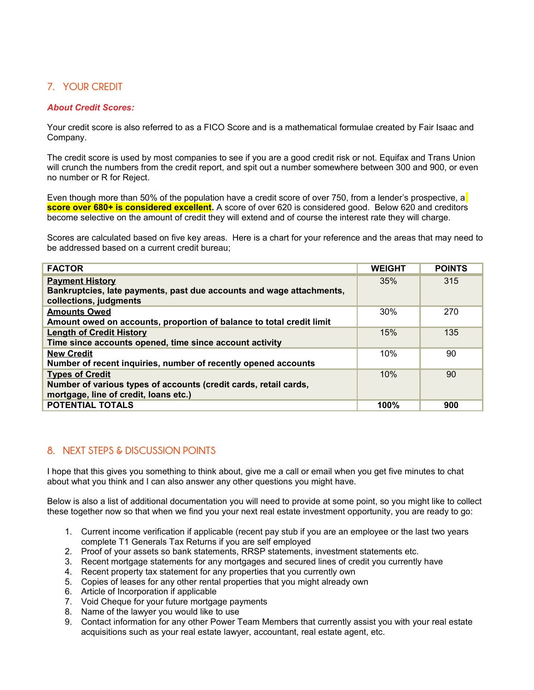## **7. YOUR CREDIT**

#### *About Credit Scores:*

Your credit score is also referred to as a FICO Score and is a mathematical formulae created by Fair Isaac and Company.

The credit score is used by most companies to see if you are a good credit risk or not. Equifax and Trans Union will crunch the numbers from the credit report, and spit out a number somewhere between 300 and 900, or even no number or R for Reject.

Even though more than 50% of the population have a credit score of over 750, from a lender's prospective, a **score over 680+ is considered excellent.** A score of over 620 is considered good. Below 620 and creditors become selective on the amount of credit they will extend and of course the interest rate they will charge.

Scores are calculated based on five key areas. Here is a chart for your reference and the areas that may need to be addressed based on a current credit bureau;

| <b>FACTOR</b>                                                                                                                       | <b>WEIGHT</b> | <b>POINTS</b> |
|-------------------------------------------------------------------------------------------------------------------------------------|---------------|---------------|
| <b>Payment History</b><br>Bankruptcies, late payments, past due accounts and wage attachments,<br>collections, judgments            | 35%           | 315           |
| <b>Amounts Owed</b><br>Amount owed on accounts, proportion of balance to total credit limit                                         | 30%           | 270           |
| <b>Length of Credit History</b><br>Time since accounts opened, time since account activity                                          | 15%           | 135           |
| <b>New Credit</b><br>Number of recent inquiries, number of recently opened accounts                                                 | 10%           | 90            |
| <b>Types of Credit</b><br>Number of various types of accounts (credit cards, retail cards,<br>mortgage, line of credit, loans etc.) | 10%           | 90            |
| <b>POTENTIAL TOTALS</b>                                                                                                             | 100%          | 900           |

### **8. NEXT STEPS & DISCUSSION POINTS**

I hope that this gives you something to think about, give me a call or email when you get five minutes to chat about what you think and I can also answer any other questions you might have.

Below is also a list of additional documentation you will need to provide at some point, so you might like to collect these together now so that when we find you your next real estate investment opportunity, you are ready to go:

- 1. Current income verification if applicable (recent pay stub if you are an employee or the last two years complete T1 Generals Tax Returns if you are self employed
- 2. Proof of your assets so bank statements, RRSP statements, investment statements etc.
- 3. Recent mortgage statements for any mortgages and secured lines of credit you currently have
- 4. Recent property tax statement for any properties that you currently own
- 5. Copies of leases for any other rental properties that you might already own
- 6. Article of Incorporation if applicable
- 7. Void Cheque for your future mortgage payments
- 8. Name of the lawyer you would like to use
- 9. Contact information for any other Power Team Members that currently assist you with your real estate acquisitions such as your real estate lawyer, accountant, real estate agent, etc.